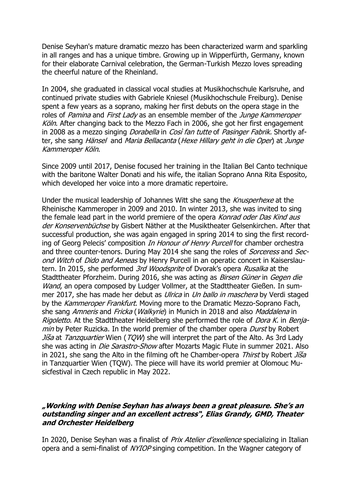Denise Seyhan's mature dramatic mezzo has been characterized warm and sparkling in all ranges and has a unique timbre. Growing up in Wipperfürth, Germany, known for their elaborate Carnival celebration, the German-Turkish Mezzo loves spreading the cheerful nature of the Rheinland.

In 2004, she graduated in classical vocal studies at Musikhochschule Karlsruhe, and continued private studies with Gabriele Kniesel (Musikhochschule Freiburg). Denise spent a few years as a soprano, making her first debuts on the opera stage in the roles of Pamina and First Lady as an ensemble member of the Junge Kammeroper Köln. After changing back to the Mezzo Fach in 2006, she got her first engagement in 2008 as a mezzo singing *Dorabella* in Cosi fan tutte of Pasinger Fabrik. Shortly after, she sang Hänsel and Maria Bellacanta (Hexe Hillary geht in die Oper) at Junge Kammeroper Köln.

Since 2009 until 2017, Denise focused her training in the Italian Bel Canto technique with the baritone Walter Donati and his wife, the italian Soprano Anna Rita Esposito, which developed her voice into a more dramatic repertoire.

Under the musical leadership of Johannes Witt she sang the *Knusperhexe* at the Rheinische Kammeroper in 2009 and 2010. In winter 2013, she was invited to sing the female lead part in the world premiere of the opera *Konrad oder Das Kind aus* der Konservenbüchse by Gisbert Näther at the Musiktheater Gelsenkirchen. After that successful production, she was again engaged in spring 2014 to sing the first recording of Georg Pelecis' composition *In Honour of Henry Purcell* for chamber orchestra and three counter-tenors. During May 2014 she sang the roles of *Sorceress* and Second Witch of Dido and Aeneas by Henry Purcell in an operatic concert in Kaiserslautern. In 2015, she performed 3rd Woodsprite of Dvorak's opera Rusalka at the Stadttheater Pforzheim. During 2016, she was acting as Birsen Güner in Gegen die Wand, an opera composed by Ludger Vollmer, at the Stadttheater Gießen. In summer 2017, she has made her debut as *Ulrica* in *Un ballo in maschera* by Verdi staged by the Kammeroper Frankfurt. Moving more to the Dramatic Mezzo-Soprano Fach, she sang Amneris and Fricka (Walkyrie) in Munich in 2018 and also Maddalena in Rigoletto. At the Stadttheater Heidelberg she performed the role of *Dora K.* in Benjamin by Peter Ruzicka. In the world premier of the chamber opera *Durst* by Robert Jiša at Tanzquartier Wien (TQW) she will interpret the part of the Alto. As 3rd Lady she was acting in *Die Sarastro-Show* after Mozarts Magic Flute in summer 2021. Also in 2021, she sang the Alto in the filming oft he Chamber-opera Thirst by Robert  $J\ddot{\rm s}$ in Tanzquartier Wien (TQW). The piece will have its world premier at Olomouc Musicfestival in Czech republic in May 2022.

## **"Working with Denise Seyhan has always been a great pleasure. She's an outstanding singer and an excellent actress", Elias Grandy, GMD, Theater and Orchester Heidelberg**

In 2020, Denise Seyhan was a finalist of *Prix Atelier d'exellence* specializing in Italian opera and a semi-finalist of NYIOP singing competition. In the Wagner category of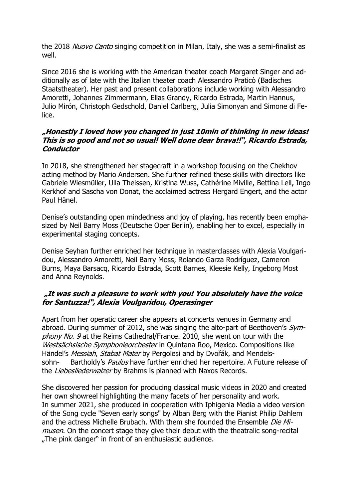the 2018 Nuovo Canto singing competition in Milan, Italy, she was a semi-finalist as well.

Since 2016 she is working with the American theater coach Margaret Singer and additionally as of late with the Italian theater coach Alessandro Praticò (Badisches Staatstheater). Her past and present collaborations include working with Alessandro Amoretti, Johannes Zimmermann, Elias Grandy, Ricardo Estrada, Martin Hannus, Julio Mirón, Christoph Gedschold, Daniel Carlberg, Julia Simonyan and Simone di Felice.

## **"Honestly I loved how you changed in just 10min of thinking in new ideas! This is so good and not so usual! Well done dear brava!!", Ricardo Estrada, Conductor**

In 2018, she strengthened her stagecraft in a workshop focusing on the Chekhov acting method by Mario Andersen. She further refined these skills with directors like Gabriele Wiesmüller, Ulla Theissen, Kristina Wuss, Cathérine Miville, Bettina Lell, Ingo Kerkhof and Sascha von Donat, the acclaimed actress Hergard Engert, and the actor Paul Hänel.

Denise's outstanding open mindedness and joy of playing, has recently been emphasized by Neil Barry Moss (Deutsche Oper Berlin), enabling her to excel, especially in experimental staging concepts.

Denise Seyhan further enriched her technique in masterclasses with Alexia Voulgaridou, Alessandro Amoretti, Neil Barry Moss, Rolando Garza Rodríguez, Cameron Burns, Maya Barsacq, Ricardo Estrada, Scott Barnes, Kleesie Kelly, Ingeborg Most and Anna Reynolds.

## **"It was such a pleasure to work with you! You absolutely have the voice for Santuzza!", Alexia Voulgaridou, Operasinger**

Apart from her operatic career she appears at concerts venues in Germany and abroad. During summer of 2012, she was singing the alto-part of Beethoven's Symphony No. 9 at the Reims Cathedral/France. 2010, she went on tour with the Westsächsische Symphonieorchester in Quintana Roo, Mexico. Compositions like Händel's *Messiah, Stabat Mater* by Pergolesi and by Dyořák, and Mendelssohn- Bartholdy's *Paulus* have further enriched her repertoire. A Future release of the Liebesliederwalzer by Brahms is planned with Naxos Records.

She discovered her passion for producing classical music videos in 2020 and created her own showreel highlighting the many facets of her personality and work. In summer 2021, she produced in cooperation with Iphigenia Media a video version of the Song cycle "Seven early songs" by Alban Berg with the Pianist Philip Dahlem and the actress Michelle Brubach. With them she founded the Ensemble *Die Mi*musen. On the concert stage they give their debut with the theatralic song-recital "The pink danger" in front of an enthusiastic audience.